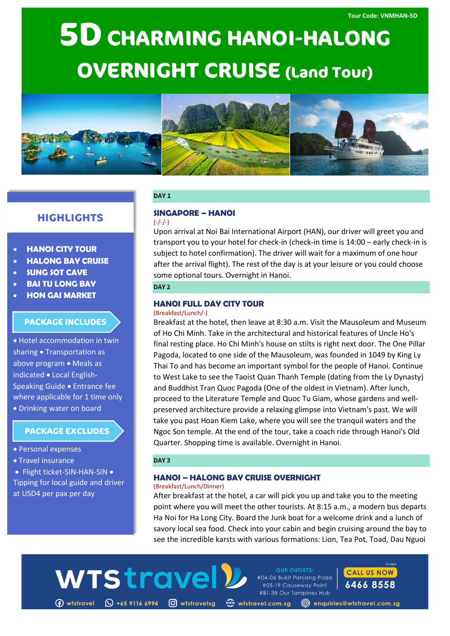# **5D CHARMING HANOI-HALONG OVERNIGHT CRUISE (Land Tour)**



# **HIGHLIGHTS**

# • **HANOI CITY TOUR**

- **HALONG BAY CRUISE**
- **SUNG SOT CAVE**
- **BAI TU LONG BAY**
- **HON GAI MARKET**

# **PACKAGE INCLUDES**

• Hotel accommodation in twin sharing • Transportation as above program • Meals as indicated • Local English-Speaking Guide • Entrance fee where applicable for 1 time only • Drinking water on board

# **PACKAGE EXCLUDES**

- Personal expenses
- Travel insurance
- Flight ticket-SIN-HAN-SIN •
- Tipping for local guide and driver at USD4 per pax per day

## **DAY 1**

#### **SINGAPORE – HANOI**  $(-/-/-)$

Upon arrival at Noi Bai International Airport (HAN), our driver will greet you and transport you to your hotel for check-in (check-in time is 14:00 – early check-in is subject to hotel confirmation). The driver will wait for a maximum of one hour after the arrival flight). The rest of the day is at your leisure or you could choose some optional tours. Overnight in Hanoi.

## **DAY 2**

# **HANOI FULL DAY CITY TOUR**

#### (Breakfast/Lunch/-)

Breakfast at the hotel, then leave at 8:30 a.m. Visit the Mausoleum and Museum of Ho Chi Minh. Take in the architectural and historical features of Uncle Ho's final resting place. Ho Chi Minh's house on stilts is right next door. The One Pillar Pagoda, located to one side of the Mausoleum, was founded in 1049 by King Ly Thai To and has become an important symbol for the people of Hanoi. Continue to West Lake to see the Taoist Quan Thanh Temple (dating from the Ly Dynasty) and Buddhist Tran Quoc Pagoda (One of the oldest in Vietnam). After lunch, proceed to the Literature Temple and Quoc Tu Giam, whose gardens and wellpreserved architecture provide a relaxing glimpse into Vietnam's past. We will take you past Hoan Kiem Lake, where you will see the tranquil waters and the Ngoc Son temple. At the end of the tour, take a coach ride through Hanoi's Old Quarter. Shopping time is available. Overnight in Hanoi.

## **DAY 3**

WTStrave

#### **HANOI – HALONG BAY CRUISE OVERNIGHT** (Breakfast/Lunch/Dinner)

After breakfast at the hotel, a car will pick you up and take you to the meeting point where you will meet the other tourists. At 8:15 a.m., a modern bus departs Ha Noi for Ha Long City. Board the Junk boat for a welcome drink and a lunch of savory local sea food. Check into your cabin and begin cruising around the bay to see the incredible karsts with various formations: Lion, Tea Pot, Toad, Dau Nguoi



#04-06 Bukit Panjang Plaza #05-19 Causeway Point #B1-38 Our Tampines Hub

**OUR OUTLETS:** 



www.wtstravel.com.sg @enquiries@wtstravel.com.sg